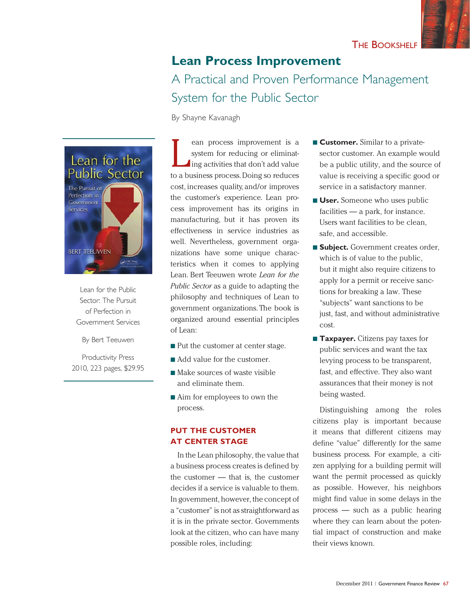# **Lean Process Improvement**  A Practical and Proven Performance Management System for the Public Sector

By Shayne Kavanagh



Lean for the Public Sector: The Pursuit of Perfection in Government Services

By Bert Teeuwen

Productivity Press 2010, 223 pages, \$29.95

L ean process improvement is a system for reducing or eliminating activities that don't add value to a business process. Doing so reduces cost, increases quality, and/or improves the customer's experience. Lean process improvement has its origins in manufacturing, but it has proven its effectiveness in service industries as well. Nevertheless, government organizations have some unique characteristics when it comes to applying Lean. Bert Teeuwen wrote *Lean for the Public Sector* as a guide to adapting the philosophy and techniques of Lean to government organizations. The book is organized around essential principles of Lean:

- $\blacksquare$  Put the customer at center stage.
- Add value for the customer.
- $\blacksquare$  Make sources of waste visible and eliminate them.
- Aim for employees to own the process.

## **PUT THE CUSTOMER AT CENTER STAGE**

In the Lean philosophy, the value that a business process creates is defined by the customer — that is, the customer decides if a service is valuable to them. In government, however, the concept of a "customer" is not as straightforward as it is in the private sector. Governments look at the citizen, who can have many possible roles, including:

- **Expansion Customer.** Similar to a privatesector customer. An example would be a public utility, and the source of value is receiving a specific good or service in a satisfactory manner.
- **L** User. Someone who uses public facilities — a park, for instance. Users want facilities to be clean, safe, and accessible.
- **subject.** Government creates order, which is of value to the public, but it might also require citizens to apply for a permit or receive sanctions for breaking a law. These "subjects" want sanctions to be just, fast, and without administrative cost.
- **Taxpayer.** Citizens pay taxes for public services and want the tax levying process to be transparent, fast, and effective. They also want assurances that their money is not being wasted.

Distinguishing among the roles citizens play is important because it means that different citizens may define "value" differently for the same business process. For example, a citizen applying for a building permit will want the permit processed as quickly as possible. However, his neighbors might find value in some delays in the process — such as a public hearing where they can learn about the potential impact of construction and make their views known.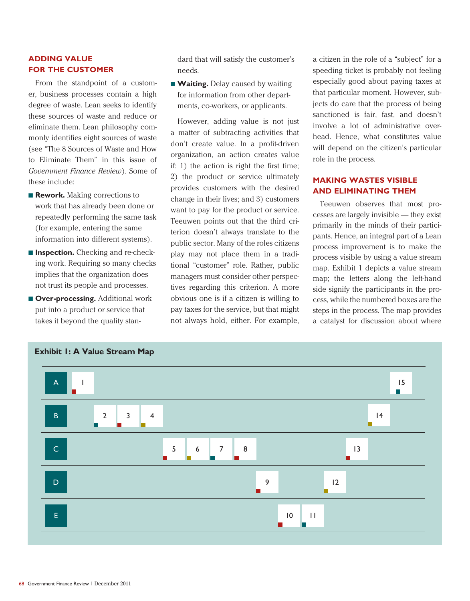## **ADDING VALUE FOR THE CUSTOMER**

From the standpoint of a customer, business processes contain a high degree of waste. Lean seeks to identify these sources of waste and reduce or eliminate them. Lean philosophy commonly identifies eight sources of waste (see "The 8 Sources of Waste and How to Eliminate Them" in this issue of *Government Finance Review*). Some of these include:

- **Rework.** Making corrections to work that has already been done or repeatedly performing the same task (for example, entering the same information into different systems).
- **n Inspection.** Checking and re-checking work. Requiring so many checks implies that the organization does not trust its people and processes.
- **n** Over-processing. Additional work put into a product or service that takes it beyond the quality stan-

dard that will satisfy the customer's needs.

**Naiting.** Delay caused by waiting for information from other departments, co-workers, or applicants.

However, adding value is not just a matter of subtracting activities that don't create value. In a profit-driven organization, an action creates value if: 1) the action is right the first time; 2) the product or service ultimately provides customers with the desired change in their lives; and 3) customers want to pay for the product or service. Teeuwen points out that the third criterion doesn't always translate to the public sector. Many of the roles citizens play may not place them in a traditional "customer" role. Rather, public managers must consider other perspectives regarding this criterion. A more obvious one is if a citizen is willing to pay taxes for the service, but that might not always hold, either. For example,

a citizen in the role of a "subject" for a speeding ticket is probably not feeling especially good about paying taxes at that particular moment. However, subjects do care that the process of being sanctioned is fair, fast, and doesn't involve a lot of administrative overhead. Hence, what constitutes value will depend on the citizen's particular role in the process.

#### **MAKING WASTES VISIBLE AND ELIMINATING THEM**

Teeuwen observes that most processes are largely invisible — they exist primarily in the minds of their participants. Hence, an integral part of a Lean process improvement is to make the process visible by using a value stream map. Exhibit 1 depicts a value stream map; the letters along the left-hand side signify the participants in the process, while the numbered boxes are the steps in the process. The map provides a catalyst for discussion about where